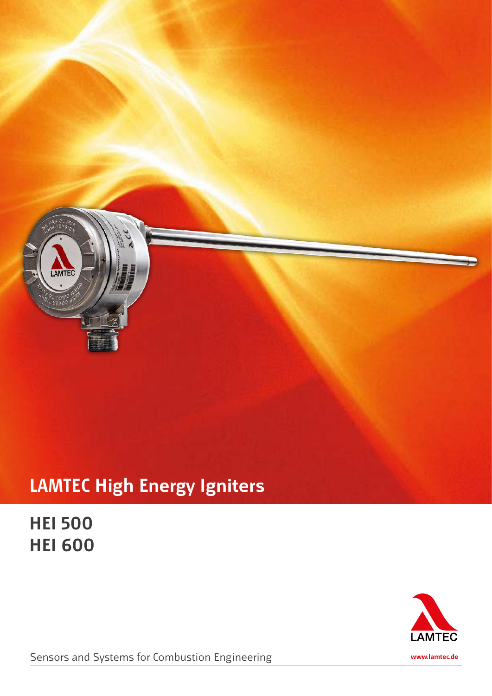

## **LAMTEC High Energy Igniters**

**HEI 500 HEI 600**



Sensors and Systems for Combustion Engineering

**www.lamtec.de**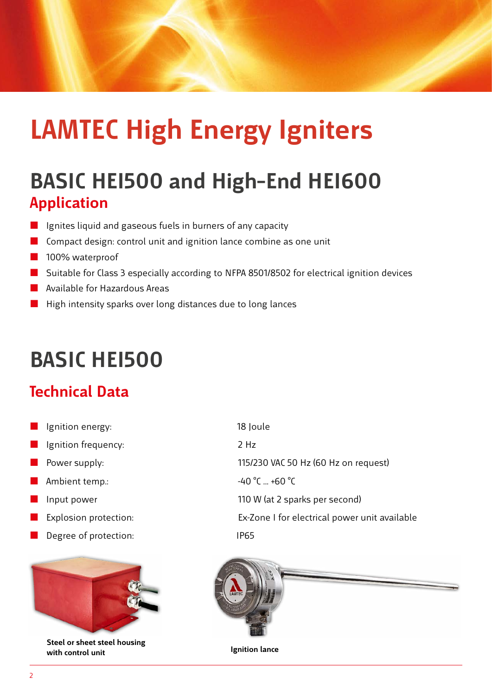# **LAMTEC High Energy Igniters**

### **Application BASIC HEI500 and High–End HEI600**

- Ignites liquid and gaseous fuels in burners of any capacity
- $\Box$  Compact design: control unit and ignition lance combine as one unit
- **100% waterproof**
- Suitable for Class 3 especially according to NFPA 8501/8502 for electrical ignition devices
- **Available for Hazardous Areas**
- $\blacksquare$  High intensity sparks over long distances due to long lances

# **BASIC HEI500**

#### **Technical Data**

- Ignition energy: 18 Joule
- **If** Ignition frequency: 2 Hz
- 
- **Ambient temp.:**  $-40^{\circ}$ C ... +60  $^{\circ}$ C
- 
- 
- Degree of protection: IP65



**Steel or sheet steel housing with control unit Ignition lance** 

**Power supply:** 2014 115/230 VAC 50 Hz (60 Hz on request) Input power **Intervellet and Communist Communist Communist Communist Communist Communist Communist Communist Communist Communist Communist Communist Communist Communist Communist Communist Communist Communist Communist Com** Explosion protection: Ex-Zone I for electrical power unit available

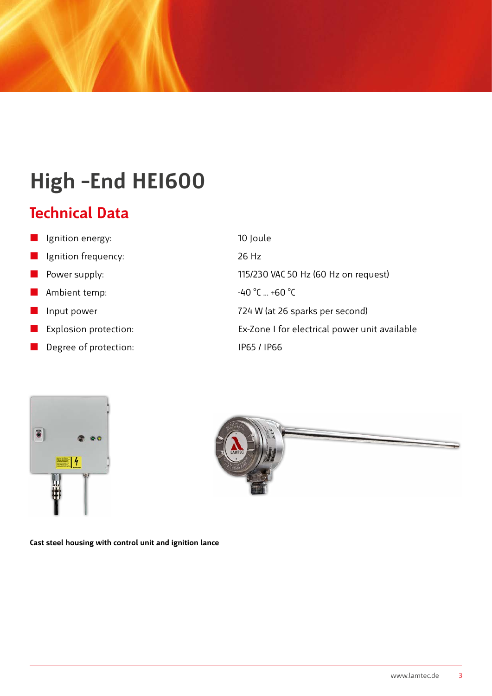# **High –End HEI600**

#### **Technical Data**

- Ignition energy: 10 Joule Ignition frequency: 26 Hz Power supply:  $115/230$  VAC 50 Hz (60 Hz on request) Ambient temp:  $-40 °C ... +60 °C$  Input power 724 W (at 26 sparks per second) Explosion protection: Ex-Zone I for electrical power unit available
- Degree of protection: IP65 / IP66





**Cast steel housing with control unit and ignition lance**